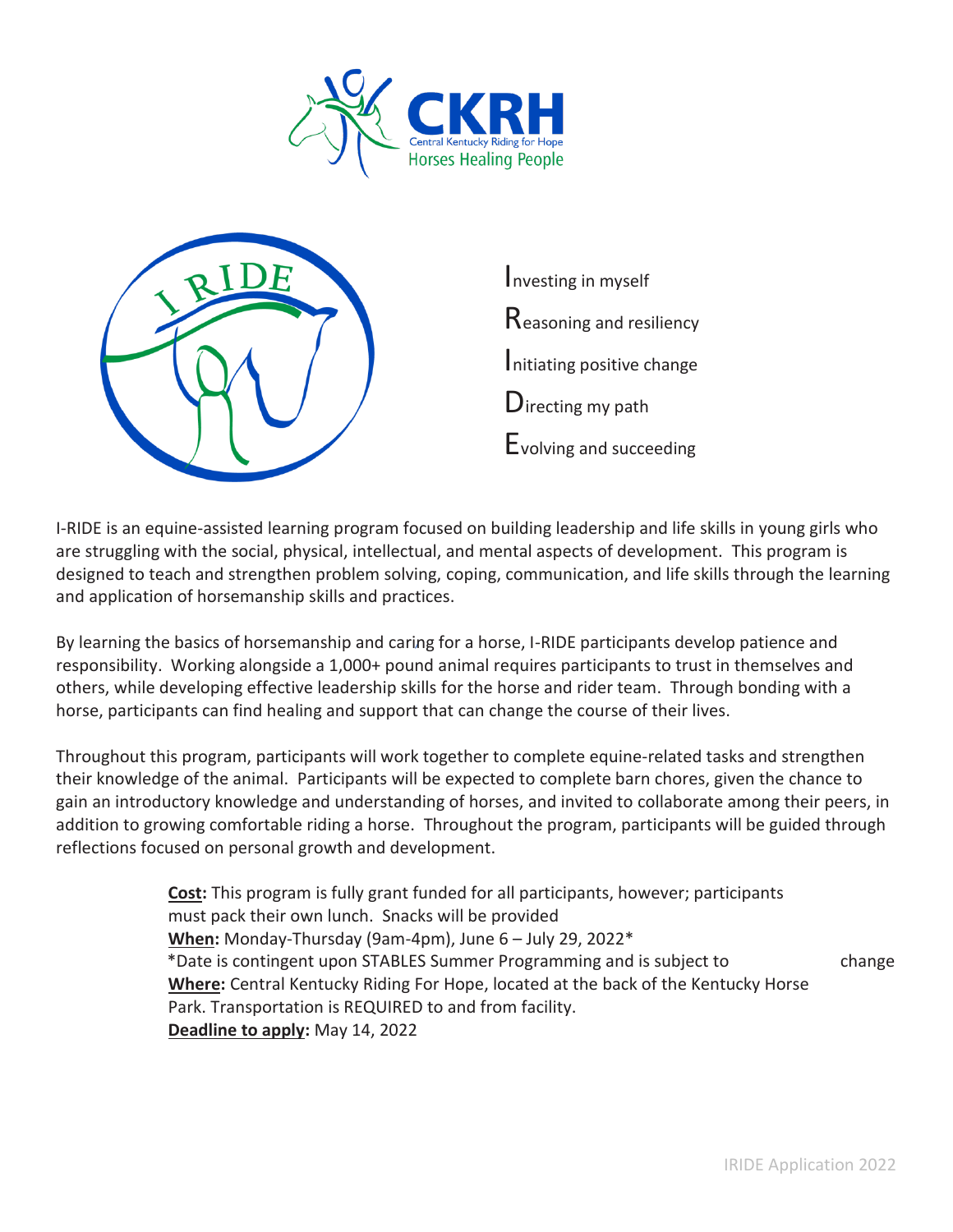



I-RIDE is an equine-assisted learning program focused on building leadership and life skills in young girls who are struggling with the social, physical, intellectual, and mental aspects of development. This program is designed to teach and strengthen problem solving, coping, communication, and life skills through the learning and application of horsemanship skills and practices.

By learning the basics of horsemanship and caring for a horse, I-RIDE participants develop patience and responsibility. Working alongside a 1,000+ pound animal requires participants to trust in themselves and others, while developing effective leadership skills for the horse and rider team. Through bonding with a horse, participants can find healing and support that can change the course of their lives.

Throughout this program, participants will work together to complete equine-related tasks and strengthen their knowledge of the animal. Participants will be expected to complete barn chores, given the chance to gain an introductory knowledge and understanding of horses, and invited to collaborate among their peers, in addition to growing comfortable riding a horse. Throughout the program, participants will be guided through reflections focused on personal growth and development.

> **Cost:** This program is fully grant funded for all participants, however; participants must pack their own lunch. Snacks will be provided **When:** Monday-Thursday (9am-4pm), June 6 – July 29, 2022\* \*Date is contingent upon STABLES Summer Programming and is subject to change **Where:** Central Kentucky Riding For Hope, located at the back of the Kentucky Horse Park. Transportation is REQUIRED to and from facility. **Deadline to apply:** May 14, 2022